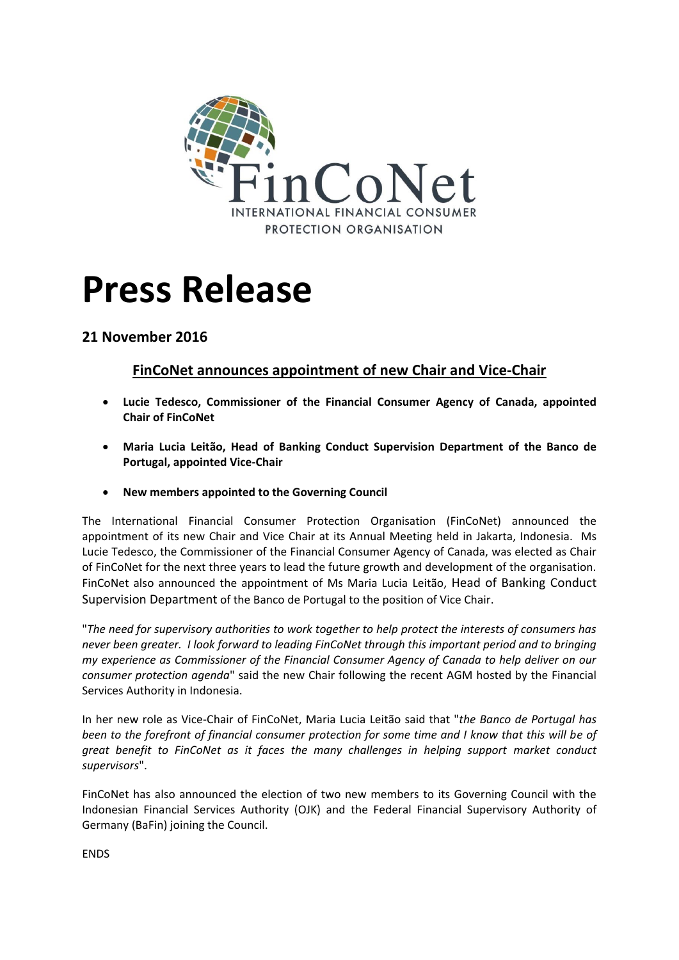

## **Press Release**

## **21 November 2016**

## **FinCoNet announces appointment of new Chair and Vice-Chair**

- **Lucie Tedesco, Commissioner of the Financial Consumer Agency of Canada, appointed Chair of FinCoNet**
- **Maria Lucia Leitão, Head of Banking Conduct Supervision Department of the Banco de Portugal, appointed Vice-Chair**
- **New members appointed to the Governing Council**

The International Financial Consumer Protection Organisation (FinCoNet) announced the appointment of its new Chair and Vice Chair at its Annual Meeting held in Jakarta, Indonesia. Ms Lucie Tedesco, the Commissioner of the Financial Consumer Agency of Canada, was elected as Chair of FinCoNet for the next three years to lead the future growth and development of the organisation. FinCoNet also announced the appointment of Ms Maria Lucia Leitão, Head of Banking Conduct Supervision Department of the Banco de Portugal to the position of Vice Chair.

"*The need for supervisory authorities to work together to help protect the interests of consumers has never been greater. I look forward to leading FinCoNet through this important period and to bringing my experience as Commissioner of the Financial Consumer Agency of Canada to help deliver on our consumer protection agenda*" said the new Chair following the recent AGM hosted by the Financial Services Authority in Indonesia.

In her new role as Vice-Chair of FinCoNet, Maria Lucia Leitão said that "*the Banco de Portugal has been to the forefront of financial consumer protection for some time and I know that this will be of great benefit to FinCoNet as it faces the many challenges in helping support market conduct supervisors*".

FinCoNet has also announced the election of two new members to its Governing Council with the Indonesian Financial Services Authority (OJK) and the Federal Financial Supervisory Authority of Germany (BaFin) joining the Council.

ENDS